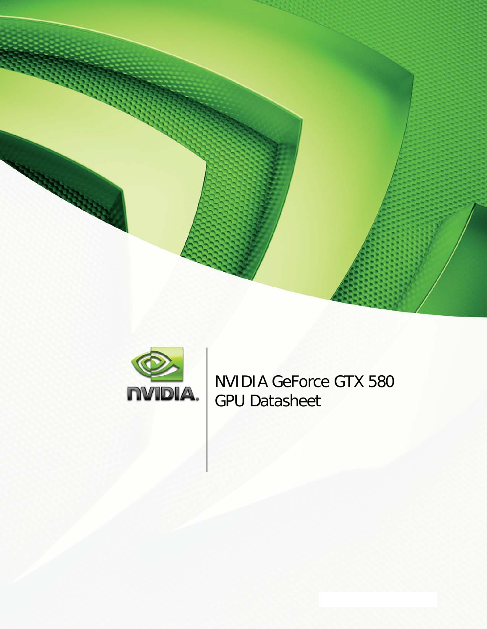



NVIDIA GeForce GTX 580 GPU Datasheet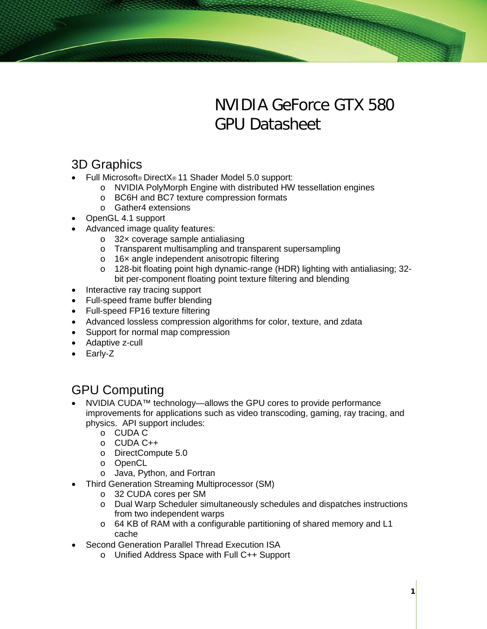# NVIDIA GeForce GTX 580 GPU Datasheet

# 3D Graphics

- Full Microsoft® DirectX® 11 Shader Model 5.0 support:
	- o NVIDIA PolyMorph Engine with distributed HW tessellation engines
	- o BC6H and BC7 texture compression formats
	- o Gather4 extensions
- OpenGL 4.1 support
- Advanced image quality features:
	- o 32× coverage sample antialiasing
	- o Transparent multisampling and transparent supersampling
	- o 16× angle independent anisotropic filtering
	- o 128-bit floating point high dynamic-range (HDR) lighting with antialiasing; 32 bit per-component floating point texture filtering and blending
- Interactive ray tracing support
- Full-speed frame buffer blending
- Full-speed FP16 texture filtering
- Advanced lossless compression algorithms for color, texture, and zdata
- Support for normal map compression
- Adaptive z-cull
- Early-Z

# GPU Computing

- NVIDIA CUDA™ technology—allows the GPU cores to provide performance improvements for applications such as video transcoding, gaming, ray tracing, and physics. API support includes:
	- o CUDA C
	- o CUDA C++
	- o DirectCompute 5.0
	- o OpenCL
	- o Java, Python, and Fortran
	- Third Generation Streaming Multiprocessor (SM)
		- o 32 CUDA cores per SM
		- o Dual Warp Scheduler simultaneously schedules and dispatches instructions from two independent warps
		- o 64 KB of RAM with a configurable partitioning of shared memory and L1 cache
- Second Generation Parallel Thread Execution ISA
	- o Unified Address Space with Full C++ Support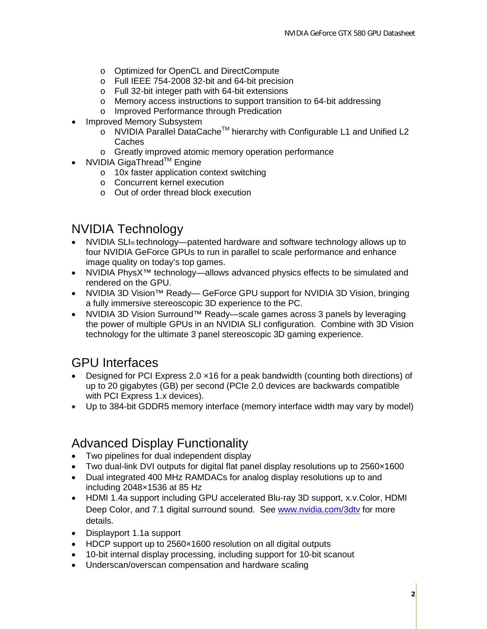- o Optimized for OpenCL and DirectCompute
- o Full IEEE 754-2008 32-bit and 64-bit precision
- o Full 32-bit integer path with 64-bit extensions
- o Memory access instructions to support transition to 64-bit addressing
- o Improved Performance through Predication
- Improved Memory Subsystem
	- o NVIDIA Parallel DataCacheTM hierarchy with Configurable L1 and Unified L2 Caches
	- o Greatly improved atomic memory operation performance
- NVIDIA GigaThread™ Engine
	- o 10x faster application context switching
	- o Concurrent kernel execution
	- o Out of order thread block execution

#### NVIDIA Technology

- NVIDIA SLI® technology—patented hardware and software technology allows up to four NVIDIA GeForce GPUs to run in parallel to scale performance and enhance image quality on today's top games.
- NVIDIA PhysX<sup>™</sup> technology—allows advanced physics effects to be simulated and rendered on the GPU.
- NVIDIA 3D Vision™ Ready— GeForce GPU support for NVIDIA 3D Vision, bringing a fully immersive stereoscopic 3D experience to the PC.
- NVIDIA 3D Vision Surround™ Ready—scale games across 3 panels by leveraging the power of multiple GPUs in an NVIDIA SLI configuration. Combine with 3D Vision technology for the ultimate 3 panel stereoscopic 3D gaming experience.

# GPU Interfaces

- Designed for PCI Express 2.0  $\times$  16 for a peak bandwidth (counting both directions) of up to 20 gigabytes (GB) per second (PCIe 2.0 devices are backwards compatible with PCI Express 1.x devices).
- Up to 384-bit GDDR5 memory interface (memory interface width may vary by model)

# Advanced Display Functionality

- Two pipelines for dual independent display
- Two dual-link DVI outputs for digital flat panel display resolutions up to 2560×1600
- Dual integrated 400 MHz RAMDACs for analog display resolutions up to and including 2048×1536 at 85 Hz
- HDMI 1.4a support including GPU accelerated Blu-ray 3D support, x.v.Color, HDMI Deep Color, and 7.1 digital surround sound. See [www.nvidia.com/3dtv](http://www.nvidia.com/3dtv) for more details.
- Displayport 1.1a support
- HDCP support up to 2560×1600 resolution on all digital outputs
- 10-bit internal display processing, including support for 10-bit scanout
- Underscan/overscan compensation and hardware scaling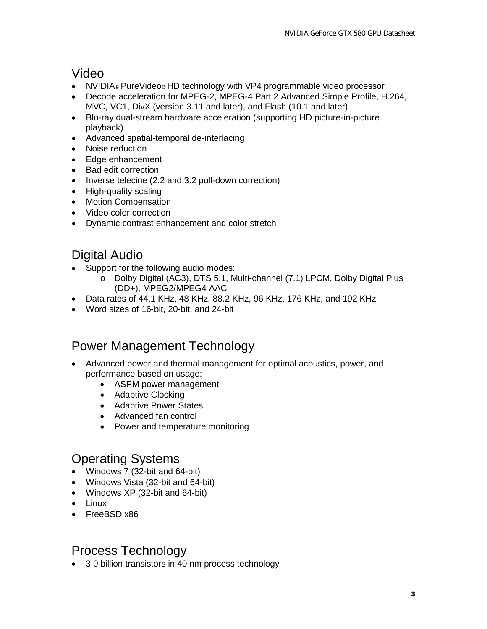# Video

- NVIDIA® PureVideo® HD technology with VP4 programmable video processor
- Decode acceleration for MPEG-2, MPEG-4 Part 2 Advanced Simple Profile, H.264, MVC, VC1, DivX (version 3.11 and later), and Flash (10.1 and later)
- Blu-ray dual-stream hardware acceleration (supporting HD picture-in-picture playback)
- Advanced spatial-temporal de-interlacing
- Noise reduction
- Edge enhancement
- Bad edit correction
- Inverse telecine (2:2 and 3:2 pull-down correction)
- High-quality scaling
- Motion Compensation
- Video color correction
- Dynamic contrast enhancement and color stretch

# Digital Audio

- Support for the following audio modes:
	- o Dolby Digital (AC3), DTS 5.1, Multi-channel (7.1) LPCM, Dolby Digital Plus (DD+), MPEG2/MPEG4 AAC
- Data rates of 44.1 KHz, 48 KHz, 88.2 KHz, 96 KHz, 176 KHz, and 192 KHz
- Word sizes of 16‐bit, 20‐bit, and 24‐bit

# Power Management Technology

- Advanced power and thermal management for optimal acoustics, power, and performance based on usage:
	- ASPM power management
	- Adaptive Clocking
	- Adaptive Power States
	- Advanced fan control
	- Power and temperature monitoring

# Operating Systems

- Windows 7 (32-bit and 64-bit)
- Windows Vista (32-bit and 64-bit)
- Windows XP (32-bit and 64-bit)
- Linux
- FreeBSD x86

# Process Technology

• 3.0 billion transistors in 40 nm process technology